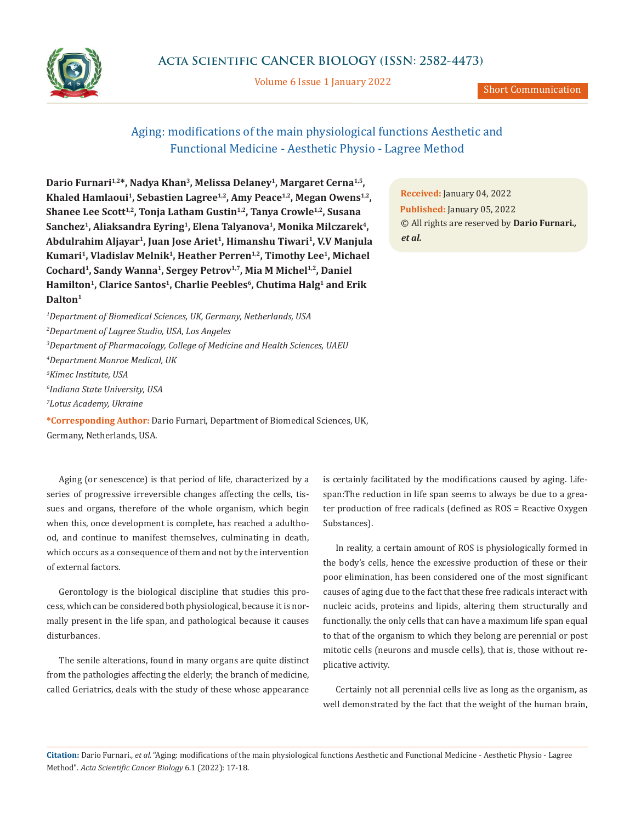

Volume 6 Issue 1 January 2022

## Aging: modifications of the main physiological functions Aesthetic and Functional Medicine - Aesthetic Physio - Lagree Method

Dario Furnari<sup>1,2\*</sup>, Nadya Khan<sup>3</sup>, Melissa Delaney<sup>1</sup>, Margaret Cerna<sup>1,5</sup>, Khaled Hamlaoui<sup>1</sup>, Sebastien Lagree<sup>1,2</sup>, Amy Peace<sup>1,2</sup>, Megan Owens<sup>1,2</sup>, Shanee Lee Scott<sup>1,2</sup>, Tonja Latham Gustin<sup>1,2</sup>, Tanya Crowle<sup>1,2</sup>, Susana Sanchez<sup>1</sup>, Aliaksandra Eyring<sup>1</sup>, Elena Talyanova<sup>1</sup>, Monika Milczarek<sup>4</sup>, **Abdulrahim Aljayar1, Juan Jose Ariet1, Himanshu Tiwari1, V.V Manjula**  Kumari<sup>1</sup>, Vladislav Melnik<sup>1</sup>, Heather Perren<sup>1,2</sup>, Timothy Lee<sup>1</sup>, Michael Cochard<sup>1</sup>, Sandy Wanna<sup>1</sup>, Sergey Petrov<sup>1,7</sup>, Mia M Michel<sup>1,2</sup>, Daniel Hamilton<sup>1</sup>, Clarice Santos<sup>1</sup>, Charlie Peebles<sup>6</sup>, Chutima Halg<sup>1</sup> and Erik **Dalton1**

 *Department of Biomedical Sciences, UK, Germany, Netherlands, USA Department of Lagree Studio, USA, Los Angeles Department of Pharmacology, College of Medicine and Health Sciences, UAEU Department Monroe Medical, UK Kimec Institute, USA Indiana State University, USA Lotus Academy, Ukraine*

**\*Corresponding Author:** Dario Furnari, Department of Biomedical Sciences, UK, Germany, Netherlands, USA.

Aging (or senescence) is that period of life, characterized by a series of progressive irreversible changes affecting the cells, tissues and organs, therefore of the whole organism, which begin when this, once development is complete, has reached a adulthood, and continue to manifest themselves, culminating in death, which occurs as a consequence of them and not by the intervention of external factors.

Gerontology is the biological discipline that studies this process, which can be considered both physiological, because it is normally present in the life span, and pathological because it causes disturbances.

The senile alterations, found in many organs are quite distinct from the pathologies affecting the elderly; the branch of medicine, called Geriatrics, deals with the study of these whose appearance

**Received:** January 04, 2022 **Published:** January 05, 2022 © All rights are reserved by **Dario Furnari***., et al.*

is certainly facilitated by the modifications caused by aging. Lifespan:The reduction in life span seems to always be due to a greater production of free radicals (defined as ROS = Reactive Oxygen Substances).

In reality, a certain amount of ROS is physiologically formed in the body's cells, hence the excessive production of these or their poor elimination, has been considered one of the most significant causes of aging due to the fact that these free radicals interact with nucleic acids, proteins and lipids, altering them structurally and functionally. the only cells that can have a maximum life span equal to that of the organism to which they belong are perennial or post mitotic cells (neurons and muscle cells), that is, those without replicative activity.

Certainly not all perennial cells live as long as the organism, as well demonstrated by the fact that the weight of the human brain,